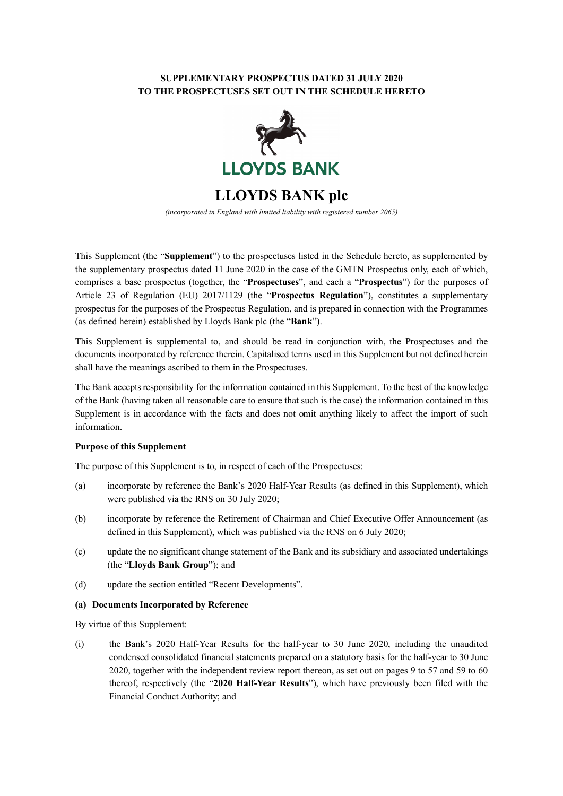### **SUPPLEMENTARY PROSPECTUS DATED 31 JULY 2020 TO THE PROSPECTUSES SET OUT IN THE SCHEDULE HERETO**



**LLOYDS BANK plc**

*(incorporated in England with limited liability with registered number 2065)*

This Supplement (the "**Supplement**") to the prospectuses listed in the Schedule hereto, as supplemented by the supplementary prospectus dated 11 June 2020 in the case of the GMTN Prospectus only, each of which, comprises a base prospectus (together, the "**Prospectuses**", and each a "**Prospectus**") for the purposes of Article 23 of Regulation (EU) 2017/1129 (the "**Prospectus Regulation**"), constitutes a supplementary prospectus for the purposes of the Prospectus Regulation, and is prepared in connection with the Programmes (as defined herein) established by Lloyds Bank plc (the "**Bank**").

This Supplement is supplemental to, and should be read in conjunction with, the Prospectuses and the documents incorporated by reference therein. Capitalised terms used in this Supplement but not defined herein shall have the meanings ascribed to them in the Prospectuses.

The Bank accepts responsibility for the information contained in this Supplement. To the best of the knowledge of the Bank (having taken all reasonable care to ensure that such is the case) the information contained in this Supplement is in accordance with the facts and does not omit anything likely to affect the import of such information.

#### **Purpose of this Supplement**

The purpose of this Supplement is to, in respect of each of the Prospectuses:

- (a) incorporate by reference the Bank's 2020 Half-Year Results (as defined in this Supplement), which were published via the RNS on 30 July 2020;
- (b) incorporate by reference the Retirement of Chairman and Chief Executive Offer Announcement (as defined in this Supplement), which was published via the RNS on 6 July 2020;
- (c) update the no significant change statement of the Bank and its subsidiary and associated undertakings (the "**Lloyds Bank Group**"); and
- (d) update the section entitled "Recent Developments".

#### **(a) Documents Incorporated by Reference**

By virtue of this Supplement:

(i) the Bank's 2020 Half-Year Results for the half-year to 30 June 2020, including the unaudited condensed consolidated financial statements prepared on a statutory basis for the half-year to 30 June 2020, together with the independent review report thereon, as set out on pages 9 to 57 and 59 to 60 thereof, respectively (the "**2020 Half-Year Results**"), which have previously been filed with the Financial Conduct Authority; and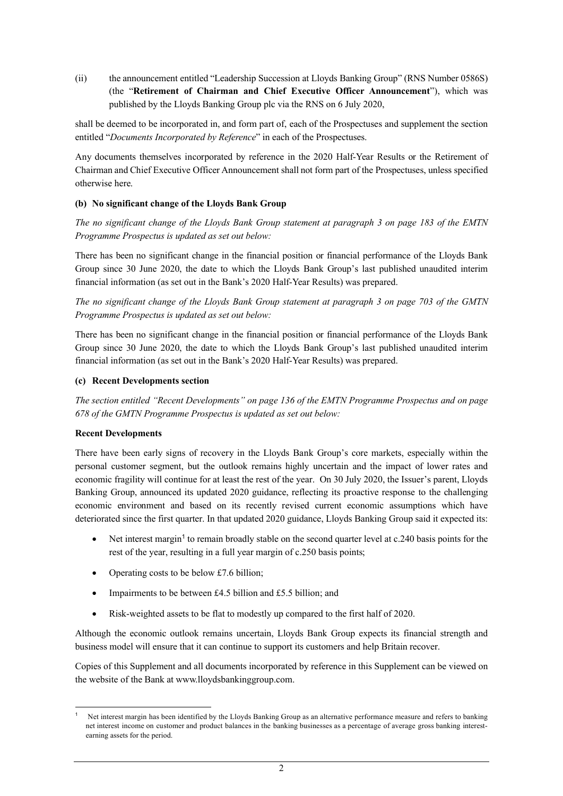(ii) the announcement entitled "Leadership Succession at Lloyds Banking Group" (RNS Number 0586S) (the "**Retirement of Chairman and Chief Executive Officer Announcement**"), which was published by the Lloyds Banking Group plc via the RNS on 6 July 2020,

shall be deemed to be incorporated in, and form part of, each of the Prospectuses and supplement the section entitled "*Documents Incorporated by Reference*" in each of the Prospectuses.

Any documents themselves incorporated by reference in the 2020 Half-Year Results or the Retirement of Chairman and Chief Executive Officer Announcement shall not form part of the Prospectuses, unless specified otherwise here.

## **(b) No significant change of the Lloyds Bank Group**

*The no significant change of the Lloyds Bank Group statement at paragraph 3 on page 183 of the EMTN Programme Prospectus is updated as set out below:*

There has been no significant change in the financial position or financial performance of the Lloyds Bank Group since 30 June 2020, the date to which the Lloyds Bank Group's last published unaudited interim financial information (as set out in the Bank's 2020 Half-Year Results) was prepared.

*The no significant change of the Lloyds Bank Group statement at paragraph 3 on page 703 of the GMTN Programme Prospectus is updated as set out below:*

There has been no significant change in the financial position or financial performance of the Lloyds Bank Group since 30 June 2020, the date to which the Lloyds Bank Group's last published unaudited interim financial information (as set out in the Bank's 2020 Half-Year Results) was prepared.

#### **(c) Recent Developments section**

*The section entitled "Recent Developments" on page 136 of the EMTN Programme Prospectus and on page 678 of the GMTN Programme Prospectus is updated as set out below:*

#### **Recent Developments**

There have been early signs of recovery in the Lloyds Bank Group's core markets, especially within the personal customer segment, but the outlook remains highly uncertain and the impact of lower rates and economic fragility will continue for at least the rest of the year. On 30 July 2020, the Issuer's parent, Lloyds Banking Group, announced its updated 2020 guidance, reflecting its proactive response to the challenging economic environment and based on its recently revised current economic assumptions which have deteriorated since the first quarter. In that updated 2020 guidance, Lloyds Banking Group said it expected its:

- Net interest margin<sup>[1](#page-1-0)</sup> to remain broadly stable on the second quarter level at c.240 basis points for the rest of the year, resulting in a full year margin of c.250 basis points;
- Operating costs to be below £7.6 billion;
- Impairments to be between £4.5 billion and £5.5 billion; and
- Risk-weighted assets to be flat to modestly up compared to the first half of 2020.

Although the economic outlook remains uncertain, Lloyds Bank Group expects its financial strength and business model will ensure that it can continue to support its customers and help Britain recover.

Copies of this Supplement and all documents incorporated by reference in this Supplement can be viewed on the website of the Bank at www.lloydsbankinggroup.com.

<span id="page-1-0"></span>l <sup>1</sup> Net interest margin has been identified by the Lloyds Banking Group as an alternative performance measure and refers to banking net interest income on customer and product balances in the banking businesses as a percentage of average gross banking interestearning assets for the period.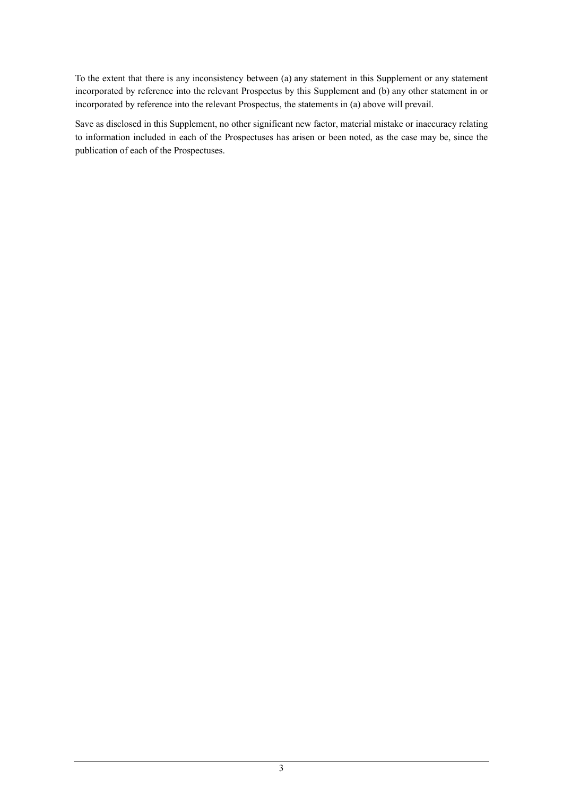To the extent that there is any inconsistency between (a) any statement in this Supplement or any statement incorporated by reference into the relevant Prospectus by this Supplement and (b) any other statement in or incorporated by reference into the relevant Prospectus, the statements in (a) above will prevail.

Save as disclosed in this Supplement, no other significant new factor, material mistake or inaccuracy relating to information included in each of the Prospectuses has arisen or been noted, as the case may be, since the publication of each of the Prospectuses.